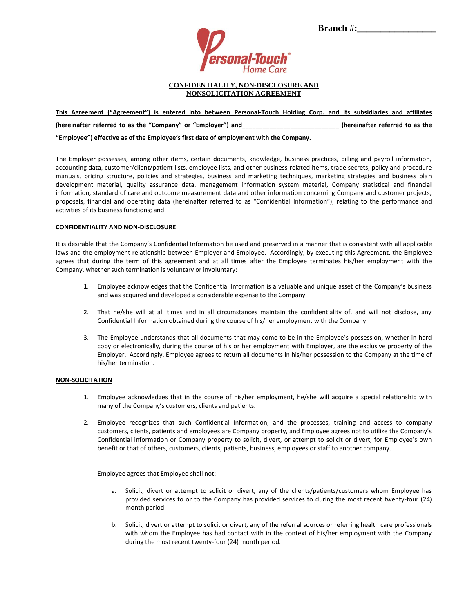

**Branch** #:

### **CONFIDENTIALITY, NON-DISCLOSURE AND NONSOLICITATION AGREEMENT**

# **This Agreement ("Agreement") is entered into between Personal-Touch Holding Corp. and its subsidiaries and affiliates (hereinafter referred to as the "Company" or "Employer") and\_\_\_\_\_\_\_\_\_\_\_\_\_\_\_\_\_\_\_\_\_\_\_\_\_\_\_\_ (hereinafter referred to as the**

## **"Employee") effective as of the Employee's first date of employment with the Company.**

The Employer possesses, among other items, certain documents, knowledge, business practices, billing and payroll information, accounting data, customer/client/patient lists, employee lists, and other business-related items, trade secrets, policy and procedure manuals, pricing structure, policies and strategies, business and marketing techniques, marketing strategies and business plan development material, quality assurance data, management information system material, Company statistical and financial information, standard of care and outcome measurement data and other information concerning Company and customer projects, proposals, financial and operating data (hereinafter referred to as "Confidential Information"), relating to the performance and activities of its business functions; and

### **CONFIDENTIALITY AND NON-DISCLOSURE**

It is desirable that the Company's Confidential Information be used and preserved in a manner that is consistent with all applicable laws and the employment relationship between Employer and Employee. Accordingly, by executing this Agreement, the Employee agrees that during the term of this agreement and at all times after the Employee terminates his/her employment with the Company, whether such termination is voluntary or involuntary:

- 1. Employee acknowledges that the Confidential Information is a valuable and unique asset of the Company's business and was acquired and developed a considerable expense to the Company.
- 2. That he/she will at all times and in all circumstances maintain the confidentiality of, and will not disclose, any Confidential Information obtained during the course of his/her employment with the Company.
- 3. The Employee understands that all documents that may come to be in the Employee's possession, whether in hard copy or electronically, during the course of his or her employment with Employer, are the exclusive property of the Employer. Accordingly, Employee agrees to return all documents in his/her possession to the Company at the time of his/her termination.

#### **NON-SOLICITATION**

- 1. Employee acknowledges that in the course of his/her employment, he/she will acquire a special relationship with many of the Company's customers, clients and patients.
- 2. Employee recognizes that such Confidential Information, and the processes, training and access to company customers, clients, patients and employees are Company property, and Employee agrees not to utilize the Company's Confidential information or Company property to solicit, divert, or attempt to solicit or divert, for Employee's own benefit or that of others, customers, clients, patients, business, employees or staff to another company.

Employee agrees that Employee shall not:

- a. Solicit, divert or attempt to solicit or divert, any of the clients/patients/customers whom Employee has provided services to or to the Company has provided services to during the most recent twenty-four (24) month period.
- b. Solicit, divert or attempt to solicit or divert, any of the referral sources or referring health care professionals with whom the Employee has had contact with in the context of his/her employment with the Company during the most recent twenty-four (24) month period.